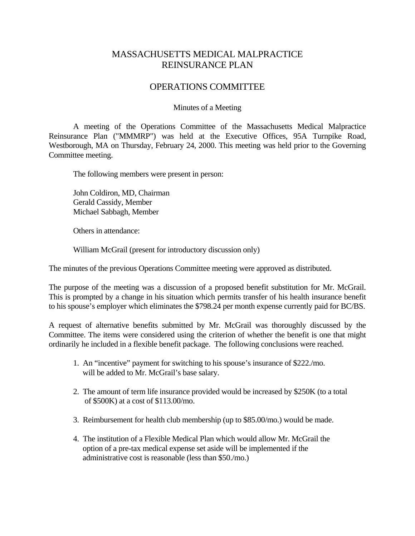## MASSACHUSETTS MEDICAL MALPRACTICE REINSURANCE PLAN

## OPERATIONS COMMITTEE

## Minutes of a Meeting

 A meeting of the Operations Committee of the Massachusetts Medical Malpractice Reinsurance Plan ("MMMRP") was held at the Executive Offices, 95A Turnpike Road, Westborough, MA on Thursday, February 24, 2000. This meeting was held prior to the Governing Committee meeting.

The following members were present in person:

 John Coldiron, MD, Chairman Gerald Cassidy, Member Michael Sabbagh, Member

Others in attendance:

William McGrail (present for introductory discussion only)

The minutes of the previous Operations Committee meeting were approved as distributed.

The purpose of the meeting was a discussion of a proposed benefit substitution for Mr. McGrail. This is prompted by a change in his situation which permits transfer of his health insurance benefit to his spouse's employer which eliminates the \$798.24 per month expense currently paid for BC/BS.

A request of alternative benefits submitted by Mr. McGrail was thoroughly discussed by the Committee. The items were considered using the criterion of whether the benefit is one that might ordinarily he included in a flexible benefit package. The following conclusions were reached.

- 1. An "incentive" payment for switching to his spouse's insurance of \$222./mo. will be added to Mr. McGrail's base salary.
- 2. The amount of term life insurance provided would be increased by \$250K (to a total of \$500K) at a cost of \$113.00/mo.
- 3. Reimbursement for health club membership (up to \$85.00/mo.) would be made.
- 4. The institution of a Flexible Medical Plan which would allow Mr. McGrail the option of a pre-tax medical expense set aside will be implemented if the administrative cost is reasonable (less than \$50./mo.)